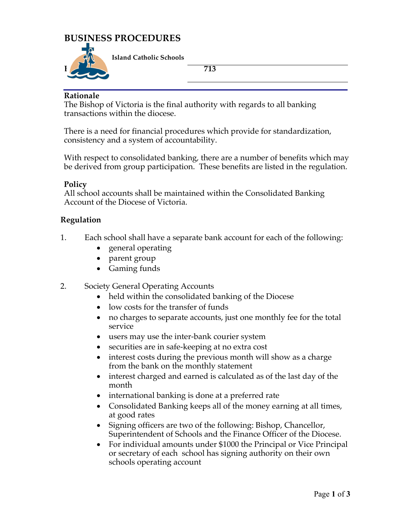## **BUSINESS PROCEDURES**



**Island Catholic Schools** 

#### **Rationale**

The Bishop of Victoria is the final authority with regards to all banking transactions within the diocese.

There is a need for financial procedures which provide for standardization, consistency and a system of accountability.

With respect to consolidated banking, there are a number of benefits which may be derived from group participation. These benefits are listed in the regulation.

#### **Policy**

All school accounts shall be maintained within the Consolidated Banking Account of the Diocese of Victoria.

#### **Regulation**

- 1. Each school shall have a separate bank account for each of the following:
	- general operating
	- parent group
	- Gaming funds
- 2. Society General Operating Accounts
	- held within the consolidated banking of the Diocese
	- low costs for the transfer of funds
	- no charges to separate accounts, just one monthly fee for the total service
	- users may use the inter-bank courier system
	- securities are in safe-keeping at no extra cost
	- interest costs during the previous month will show as a charge from the bank on the monthly statement
	- interest charged and earned is calculated as of the last day of the month
	- international banking is done at a preferred rate
	- Consolidated Banking keeps all of the money earning at all times, at good rates
	- Signing officers are two of the following: Bishop, Chancellor, Superintendent of Schools and the Finance Officer of the Diocese.
	- For individual amounts under \$1000 the Principal or Vice Principal or secretary of each school has signing authority on their own schools operating account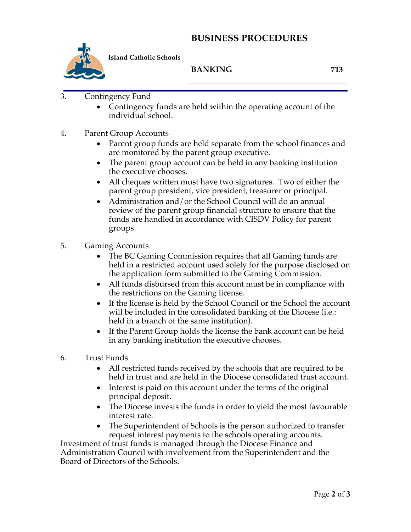### **BUSINESS PROCEDURES**



**Island Catholic Schools** 

BANKING 713

- 3. Contingency Fund
	- Contingency funds are held within the operating account of the individual school.
- 4. Parent Group Accounts
	- Parent group funds are held separate from the school finances and are monitored by the parent group executive.
	- The parent group account can be held in any banking institution the executive chooses.
	- All cheques written must have two signatures. Two of either the parent group president, vice president, treasurer or principal.
	- Administration and/or the School Council will do an annual review of the parent group financial structure to ensure that the funds are handled in accordance with CISDV Policy for parent groups.
- 5. Gaming Accounts
	- The BC Gaming Commission requires that all Gaming funds are held in a restricted account used solely for the purpose disclosed on the application form submitted to the Gaming Commission.
	- All funds disbursed from this account must be in compliance with the restrictions on the Gaming license.
	- If the license is held by the School Council or the School the account will be included in the consolidated banking of the Diocese (i.e.: held in a branch of the same institution).
	- If the Parent Group holds the license the bank account can be held in any banking institution the executive chooses.
- 6. Trust Funds
	- All restricted funds received by the schools that are required to be held in trust and are held in the Diocese consolidated trust account.
	- Interest is paid on this account under the terms of the original principal deposit.
	- The Diocese invests the funds in order to yield the most favourable interest rate.
	- The Superintendent of Schools is the person authorized to transfer request interest payments to the schools operating accounts.

Investment of trust funds is managed through the Diocese Finance and Administration Council with involvement from the Superintendent and the Board of Directors of the Schools.